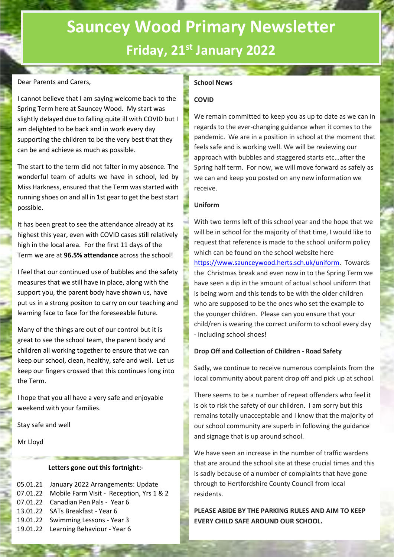# **Sauncey Wood Primary Newsletter Friday, 21st January 2022**

## Dear Parents and Carers,

I cannot believe that I am saying welcome back to the Spring Term here at Sauncey Wood. My start was slightly delayed due to falling quite ill with COVID but I am delighted to be back and in work every day supporting the children to be the very best that they can be and achieve as much as possible.

The start to the term did not falter in my absence. The wonderful team of adults we have in school, led by Miss Harkness, ensured that the Term was started with running shoes on and all in 1st gear to get the best start possible.

It has been great to see the attendance already at its highest this year, even with COVID cases still relatively high in the local area. For the first 11 days of the Term we are at **96.5% attendance** across the school!

I feel that our continued use of bubbles and the safety measures that we still have in place, along with the support you, the parent body have shown us, have put us in a strong positon to carry on our teaching and learning face to face for the foreseeable future.

Many of the things are out of our control but it is great to see the school team, the parent body and children all working together to ensure that we can keep our school, clean, healthy, safe and well. Let us keep our fingers crossed that this continues long into the Term.

I hope that you all have a very safe and enjoyable weekend with your families.

Stay safe and well

Mr Lloyd

### **Letters gone out this fortnight:-**

| 05.01.21 January 2022 Arrangements: Update        |
|---------------------------------------------------|
| 07.01.22 Mobile Farm Visit - Reception, Yrs 1 & 2 |
| 07.01.22 Canadian Pen Pals - Year 6               |
| 13.01.22 SATs Breakfast - Year 6                  |
| 19.01.22 Swimming Lessons - Year 3                |
| 19.01.22 Learning Behaviour - Year 6              |
|                                                   |

# **School News**

# **COVID**

We remain committed to keep you as up to date as we can in regards to the ever-changing guidance when it comes to the pandemic. We are in a position in school at the moment that feels safe and is working well. We will be reviewing our approach with bubbles and staggered starts etc…after the Spring half term. For now, we will move forward as safely as we can and keep you posted on any new information we receive.

### **Uniform**

With two terms left of this school year and the hope that we will be in school for the majority of that time, I would like to request that reference is made to the school uniform policy which can be found on the school website here [https://www.saunceywood.herts.sch.uk/uniform.](https://www.saunceywood.herts.sch.uk/uniform) Towards the Christmas break and even now in to the Spring Term we have seen a dip in the amount of actual school uniform that is being worn and this tends to be with the older children who are supposed to be the ones who set the example to the younger children. Please can you ensure that your child/ren is wearing the correct uniform to school every day - including school shoes!

## **Drop Off and Collection of Children - Road Safety**

Sadly, we continue to receive numerous complaints from the local community about parent drop off and pick up at school.

There seems to be a number of repeat offenders who feel it is ok to risk the safety of our children. I am sorry but this remains totally unacceptable and I know that the majority of our school community are superb in following the guidance and signage that is up around school.

We have seen an increase in the number of traffic wardens that are around the school site at these crucial times and this is sadly because of a number of complaints that have gone through to Hertfordshire County Council from local residents.

**PLEASE ABIDE BY THE PARKING RULES AND AIM TO KEEP EVERY CHILD SAFE AROUND OUR SCHOOL.**